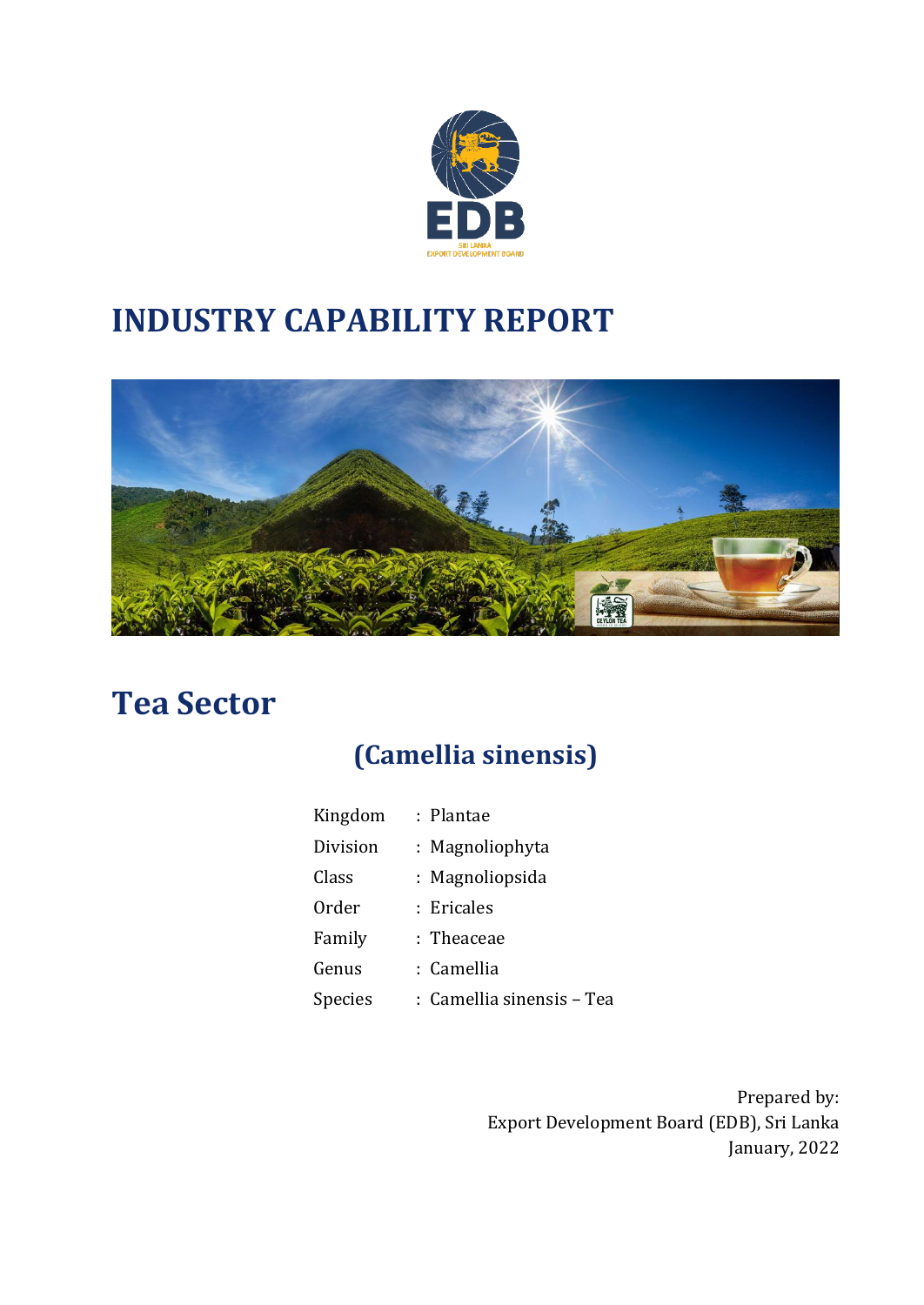

# **INDUSTRY CAPABILITY REPORT**



## **Tea Sector**

## **(Camellia sinensis)**

| Kingdom        | : Plantae                 |
|----------------|---------------------------|
| Division       | : Magnoliophyta           |
| Class          | : Magnoliopsida           |
| Order          | : Ericales                |
| Family         | : Theaceae                |
| Genus          | : Camellia                |
| <b>Species</b> | : Camellia sinensis - Tea |

Prepared by: Export Development Board (EDB), Sri Lanka January, 2022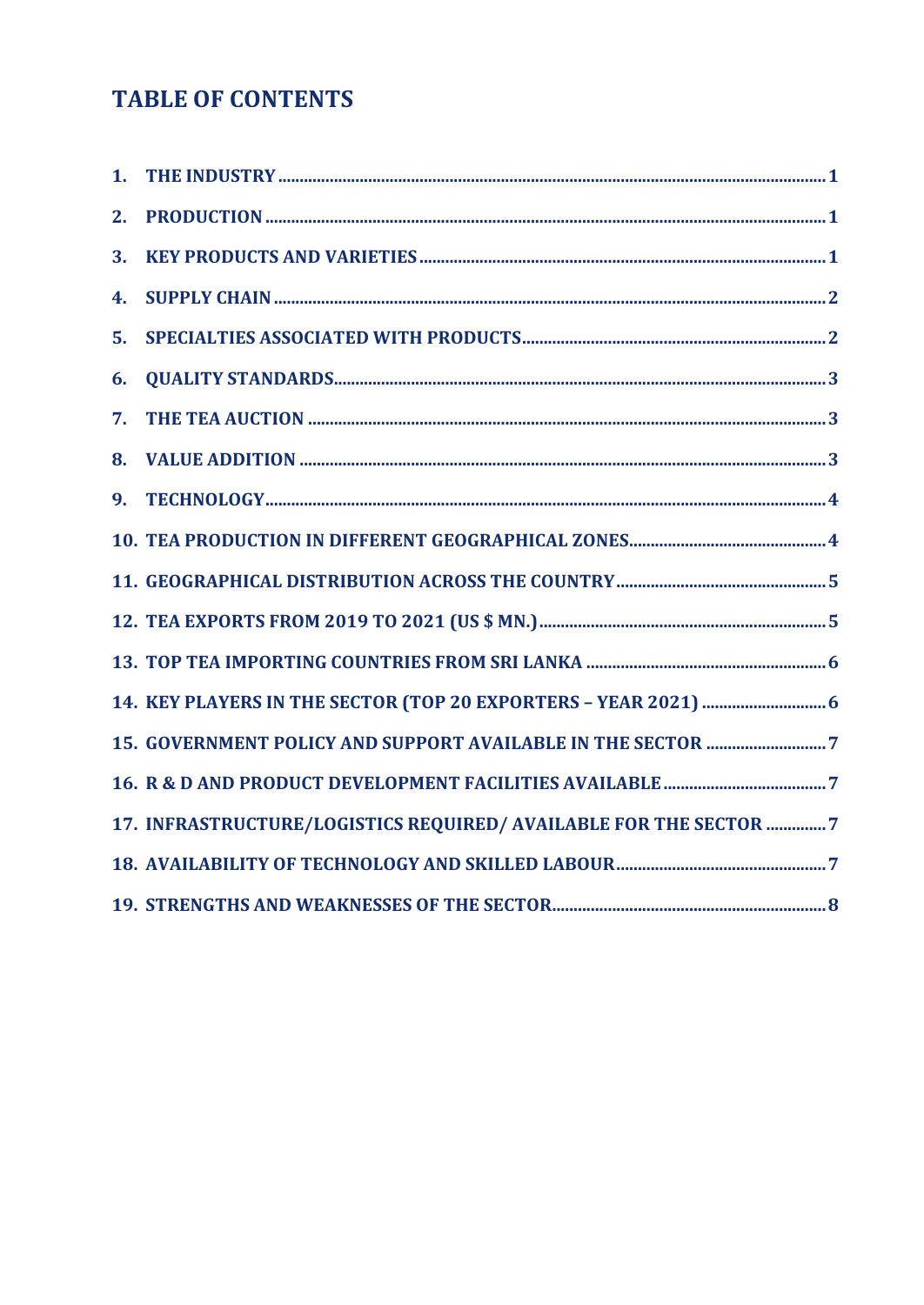### **TABLE OF CONTENTS**

| 2. |                                                                   |  |
|----|-------------------------------------------------------------------|--|
| 3. |                                                                   |  |
| 4. |                                                                   |  |
| 5. |                                                                   |  |
| 6. |                                                                   |  |
| 7. |                                                                   |  |
|    |                                                                   |  |
| 9. |                                                                   |  |
|    |                                                                   |  |
|    |                                                                   |  |
|    |                                                                   |  |
|    |                                                                   |  |
|    |                                                                   |  |
|    |                                                                   |  |
|    |                                                                   |  |
|    | 17. INFRASTRUCTURE/LOGISTICS REQUIRED/ AVAILABLE FOR THE SECTOR 7 |  |
|    |                                                                   |  |
|    |                                                                   |  |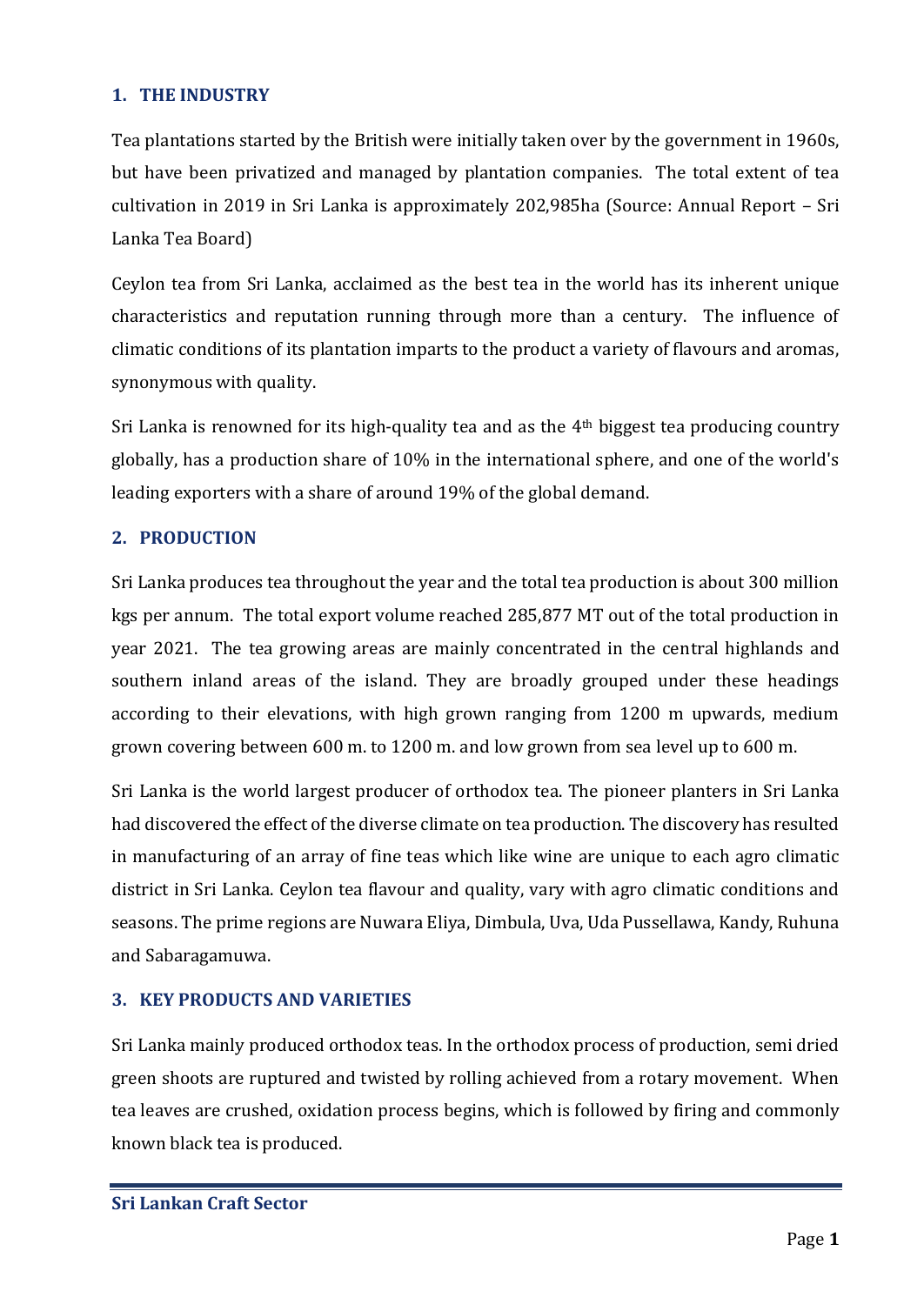#### <span id="page-2-0"></span>**1. THE INDUSTRY**

Tea plantations started by the British were initially taken over by the government in 1960s, but have been privatized and managed by plantation companies. The total extent of tea cultivation in 2019 in Sri Lanka is approximately 202,985ha (Source: Annual Report – Sri Lanka Tea Board)

Ceylon tea from Sri Lanka, acclaimed as the best tea in the world has its inherent unique characteristics and reputation running through more than a century. The influence of climatic conditions of its plantation imparts to the product a variety of flavours and aromas, synonymous with quality.

Sri Lanka is renowned for its high-quality tea and as the 4th biggest tea producing country globally, has a production share of 10% in the international sphere, and one of the world's leading exporters with a share of around 19% of the global demand.

#### <span id="page-2-1"></span>**2. PRODUCTION**

Sri Lanka produces tea throughout the year and the total tea production is about 300 million kgs per annum. The total export volume reached 285,877 MT out of the total production in year 2021. The tea growing areas are mainly concentrated in the central highlands and southern inland areas of the island. They are broadly grouped under these headings according to their elevations, with high grown ranging from 1200 m upwards, medium grown covering between 600 m. to 1200 m. and low grown from sea level up to 600 m.

Sri Lanka is the world largest producer of orthodox tea. The pioneer planters in Sri Lanka had discovered the effect of the diverse climate on tea production. The discovery has resulted in manufacturing of an array of fine teas which like wine are unique to each agro climatic district in Sri Lanka. Ceylon tea flavour and quality, vary with agro climatic conditions and seasons. The prime regions are Nuwara Eliya, Dimbula, Uva, Uda Pussellawa, Kandy, Ruhuna and Sabaragamuwa.

#### <span id="page-2-2"></span>**3. KEY PRODUCTS AND VARIETIES**

Sri Lanka mainly produced orthodox teas. In the orthodox process of production, semi dried green shoots are ruptured and twisted by rolling achieved from a rotary movement. When tea leaves are crushed, oxidation process begins, which is followed by firing and commonly known black tea is produced.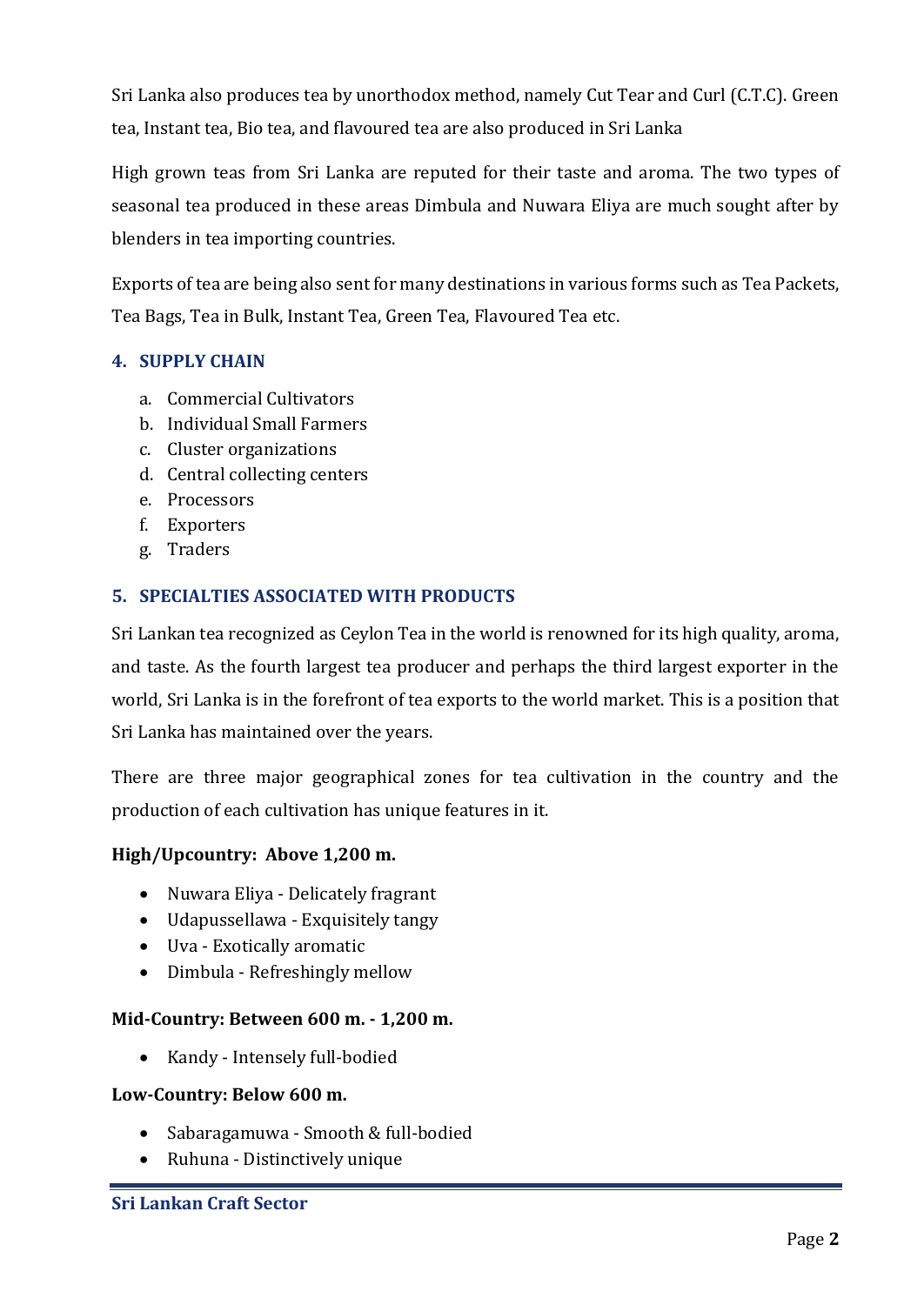Sri Lanka also produces tea by unorthodox method, namely Cut Tear and Curl (C.T.C). Green tea, Instant tea, Bio tea, and flavoured tea are also produced in Sri Lanka

High grown teas from Sri Lanka are reputed for their taste and aroma. The two types of seasonal tea produced in these areas Dimbula and Nuwara Eliya are much sought after by blenders in tea importing countries.

Exports of tea are being also sent for many destinations in various forms such as Tea Packets, Tea Bags, Tea in Bulk, Instant Tea, Green Tea, Flavoured Tea etc.

#### <span id="page-3-0"></span>**4. SUPPLY CHAIN**

- a. Commercial Cultivators
- b. Individual Small Farmers
- c. Cluster organizations
- d. Central collecting centers
- e. Processors
- f. Exporters
- g. Traders

#### <span id="page-3-1"></span>**5. SPECIALTIES ASSOCIATED WITH PRODUCTS**

Sri Lankan tea recognized as Ceylon Tea in the world is renowned for its high quality, aroma, and taste. As the fourth largest tea producer and perhaps the third largest exporter in the world, Sri Lanka is in the forefront of tea exports to the world market. This is a position that Sri Lanka has maintained over the years.

There are three major geographical zones for tea cultivation in the country and the production of each cultivation has unique features in it.

#### **High/Upcountry: Above 1,200 m.**

- Nuwara Eliya Delicately fragrant
- Udapussellawa Exquisitely tangy
- Uva Exotically aromatic
- Dimbula Refreshingly mellow

#### **Mid-Country: Between 600 m. - 1,200 m.**

• Kandy - Intensely full-bodied

#### **Low-Country: Below 600 m.**

- Sabaragamuwa Smooth & full-bodied
- Ruhuna Distinctively unique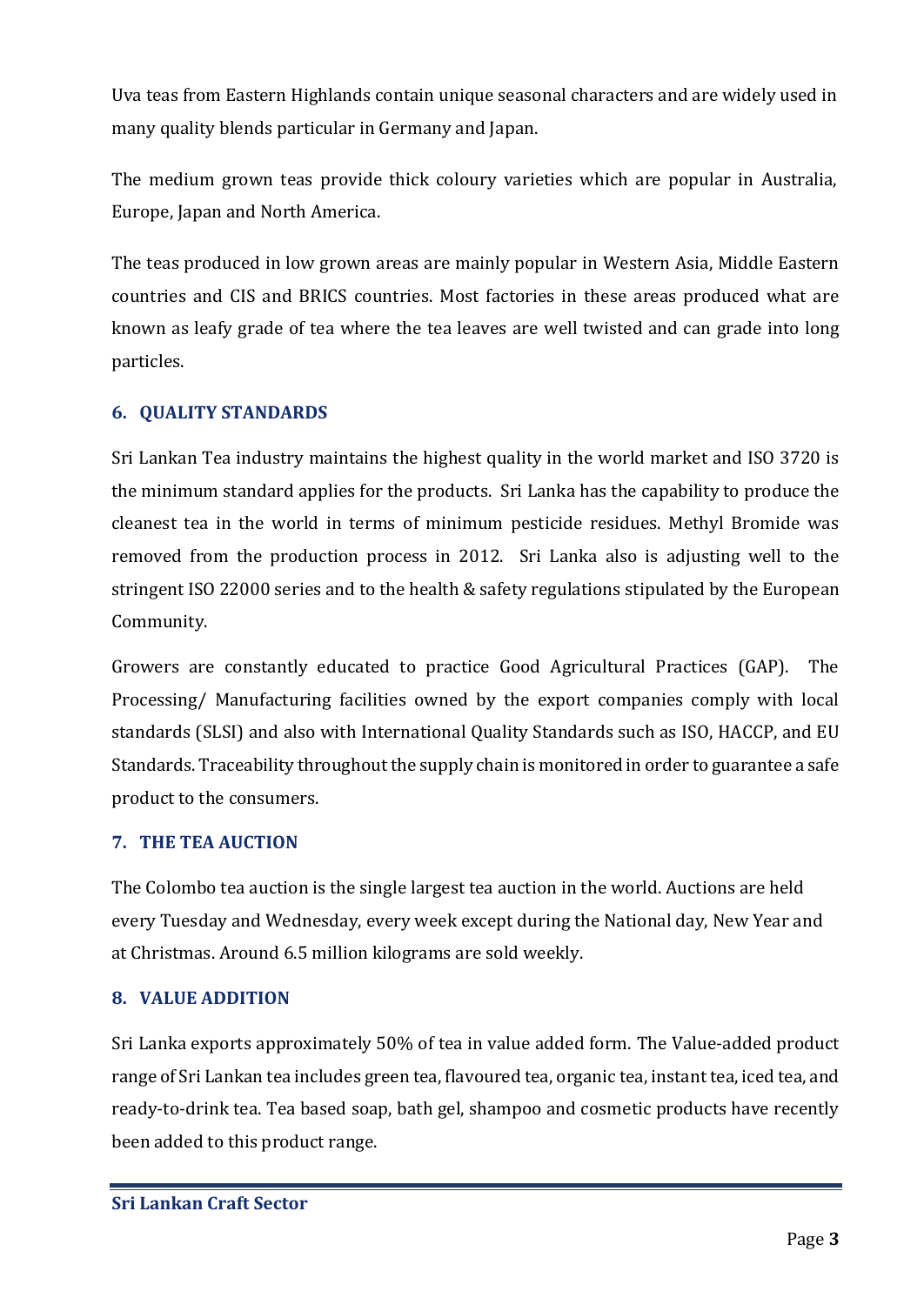Uva teas from Eastern Highlands contain unique seasonal characters and are widely used in many quality blends particular in Germany and Japan.

The medium grown teas provide thick coloury varieties which are popular in Australia, Europe, Japan and North America.

The teas produced in low grown areas are mainly popular in Western Asia, Middle Eastern countries and CIS and BRICS countries. Most factories in these areas produced what are known as leafy grade of tea where the tea leaves are well twisted and can grade into long particles.

#### <span id="page-4-0"></span>**6. QUALITY STANDARDS**

Sri Lankan Tea industry maintains the highest quality in the world market and ISO 3720 is the minimum standard applies for the products. Sri Lanka has the capability to produce the cleanest tea in the world in terms of minimum pesticide residues. Methyl Bromide was removed from the production process in 2012. Sri Lanka also is adjusting well to the stringent ISO 22000 series and to the health & safety regulations stipulated by the European Community.

Growers are constantly educated to practice Good Agricultural Practices (GAP). The Processing/ Manufacturing facilities owned by the export companies comply with local standards (SLSI) and also with International Quality Standards such as ISO, HACCP, and EU Standards. Traceability throughout the supply chain is monitored in order to guarantee a safe product to the consumers.

#### <span id="page-4-1"></span>**7. THE TEA AUCTION**

The Colombo tea auction is the single largest tea auction in the world. Auctions are held every Tuesday and Wednesday, every week except during the National day, New Year and at Christmas. Around 6.5 million kilograms are sold weekly.

#### <span id="page-4-2"></span>**8. VALUE ADDITION**

Sri Lanka exports approximately 50% of tea in value added form. The Value-added product range of Sri Lankan tea includes green tea, flavoured tea, organic tea, instant tea, iced tea, and ready-to-drink tea. Tea based soap, bath gel, shampoo and cosmetic products have recently been added to this product range.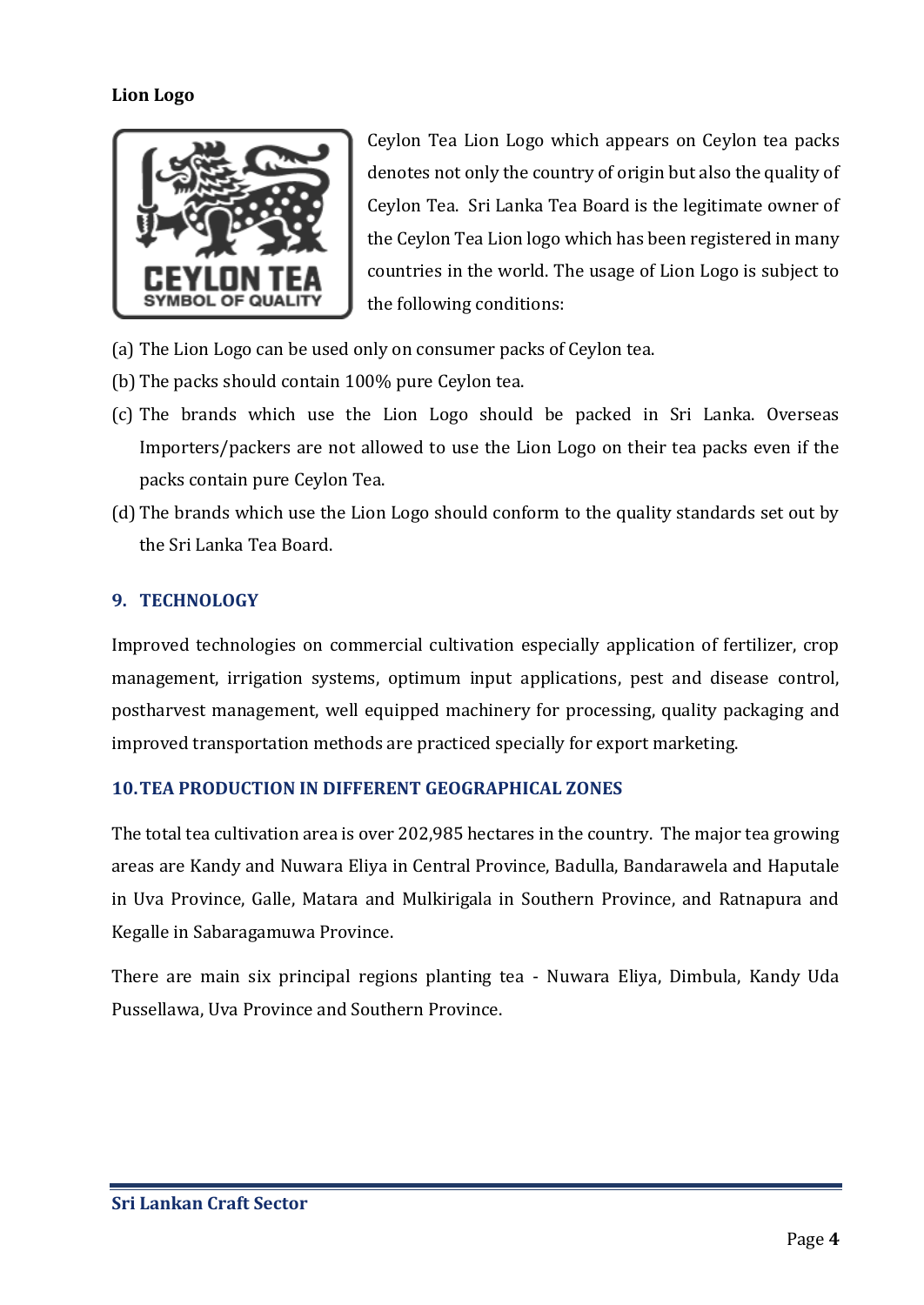#### **Lion Logo**



Ceylon Tea Lion Logo which appears on Ceylon tea packs denotes not only the country of origin but also the quality of Ceylon Tea. Sri Lanka Tea Board is the legitimate owner of the Ceylon Tea Lion logo which has been registered in many countries in the world. The usage of Lion Logo is subject to the following conditions:

- (a) The Lion Logo can be used only on consumer packs of Ceylon tea.
- (b) The packs should contain 100% pure Ceylon tea.
- (c) The brands which use the Lion Logo should be packed in Sri Lanka. Overseas Importers/packers are not allowed to use the Lion Logo on their tea packs even if the packs contain pure Ceylon Tea.
- (d) The brands which use the Lion Logo should conform to the quality standards set out by the Sri Lanka Tea Board.

#### <span id="page-5-0"></span>**9. TECHNOLOGY**

Improved technologies on commercial cultivation especially application of fertilizer, crop management, irrigation systems, optimum input applications, pest and disease control, postharvest management, well equipped machinery for processing, quality packaging and improved transportation methods are practiced specially for export marketing.

#### <span id="page-5-1"></span>**10.TEA PRODUCTION IN DIFFERENT GEOGRAPHICAL ZONES**

The total tea cultivation area is over 202,985 hectares in the country. The major tea growing areas are Kandy and Nuwara Eliya in Central Province, Badulla, Bandarawela and Haputale in Uva Province, Galle, Matara and Mulkirigala in Southern Province, and Ratnapura and Kegalle in Sabaragamuwa Province.

There are main six principal regions planting tea - Nuwara Eliya, Dimbula, Kandy Uda Pussellawa, Uva Province and Southern Province.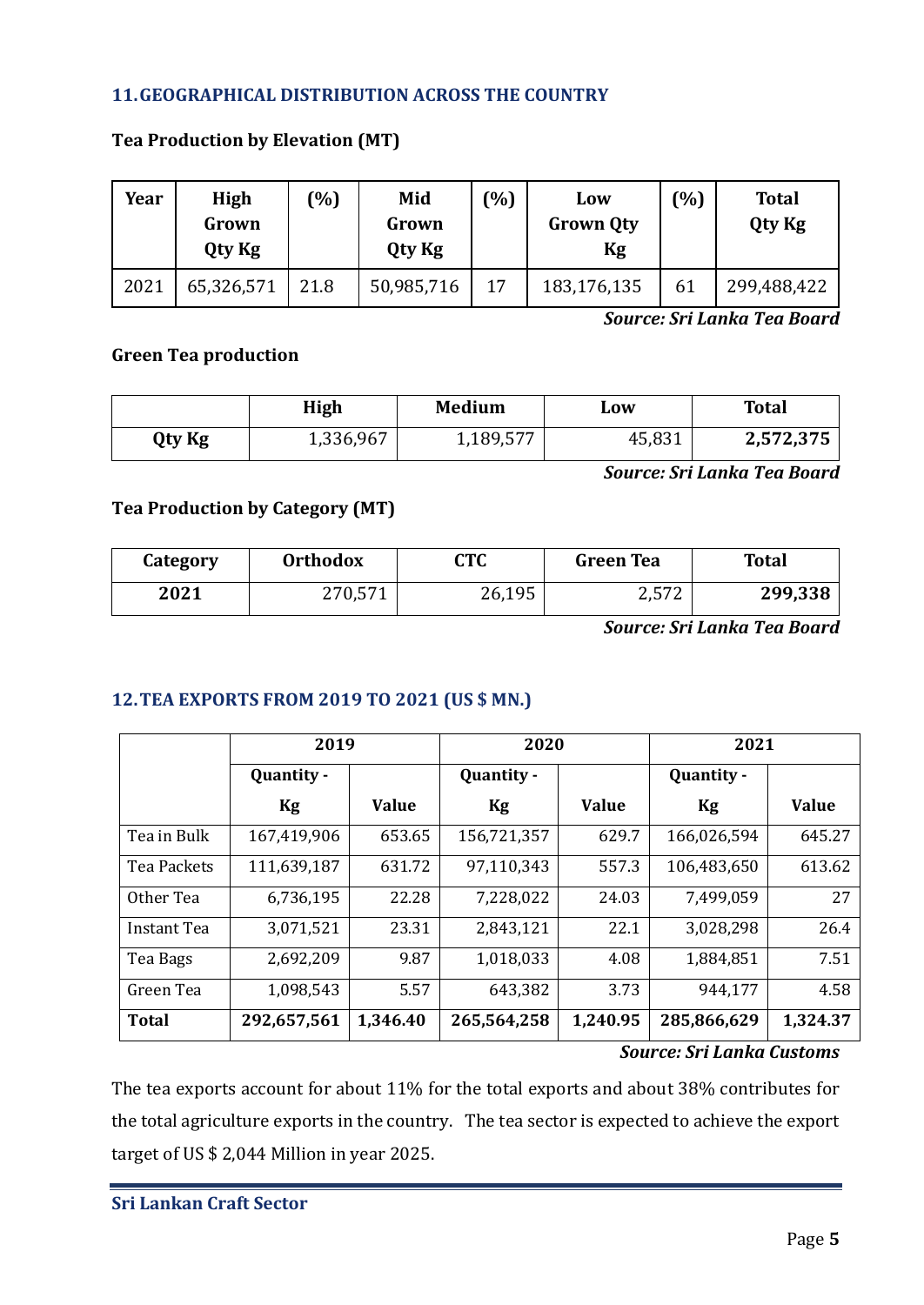#### <span id="page-6-0"></span>**11.GEOGRAPHICAL DISTRIBUTION ACROSS THE COUNTRY**

| Year | High<br>Grown<br>Qty Kg | (%)  | Mid<br>Grown<br><b>Qty Kg</b> | $\binom{0}{0}$ | Low<br><b>Grown Qty</b><br>Kg | (%) | <b>Total</b><br>Qty Kg |
|------|-------------------------|------|-------------------------------|----------------|-------------------------------|-----|------------------------|
| 2021 | 65,326,571              | 21.8 | 50,985,716                    | 17             | 183,176,135                   | 61  | 299,488,422            |

#### **Tea Production by Elevation (MT)**

*Source: Sri Lanka Tea Board*

#### **Green Tea production**

|        | <b>High</b> | <b>Medium</b> | LOW    | <b>Total</b> |
|--------|-------------|---------------|--------|--------------|
| Qty Kg | 1,336,967   | 1,189,577     | 45,831 | 2,572,375    |

*Source: Sri Lanka Tea Board*

#### **Tea Production by Category (MT)**

| Category | <b>Orthodox</b> | CTC    | <b>Green Tea</b> | <b>Total</b> |  |
|----------|-----------------|--------|------------------|--------------|--|
| 2021     | 270,571         | 26,195 | つ 57つ<br>4,J / 4 | 299,338      |  |

*Source: Sri Lanka Tea Board*

#### <span id="page-6-1"></span>**12.TEA EXPORTS FROM 2019 TO 2021 (US \$ MN.)**

|              | 2019        |              | 2020        |              | 2021        |              |  |
|--------------|-------------|--------------|-------------|--------------|-------------|--------------|--|
|              | Quantity -  |              | Quantity -  |              | Quantity -  |              |  |
|              | Kg          | <b>Value</b> | Kg          | <b>Value</b> | Kg          | <b>Value</b> |  |
| Tea in Bulk  | 167,419,906 | 653.65       | 156,721,357 | 629.7        | 166,026,594 | 645.27       |  |
| Tea Packets  | 111,639,187 | 631.72       | 97,110,343  | 557.3        | 106,483,650 | 613.62       |  |
| Other Tea    | 6,736,195   | 22.28        | 7,228,022   | 24.03        | 7,499,059   | 27           |  |
| Instant Tea  | 3,071,521   | 23.31        | 2,843,121   | 22.1         | 3,028,298   | 26.4         |  |
| Tea Bags     | 2,692,209   | 9.87         | 1,018,033   | 4.08         | 1,884,851   | 7.51         |  |
| Green Tea    | 1,098,543   | 5.57         | 643,382     | 3.73         | 944,177     | 4.58         |  |
| <b>Total</b> | 292,657,561 | 1,346.40     | 265,564,258 | 1,240.95     | 285,866,629 | 1,324.37     |  |

#### *Source: Sri Lanka Customs*

The tea exports account for about 11% for the total exports and about 38% contributes for the total agriculture exports in the country. The tea sector is expected to achieve the export target of US \$ 2,044 Million in year 2025.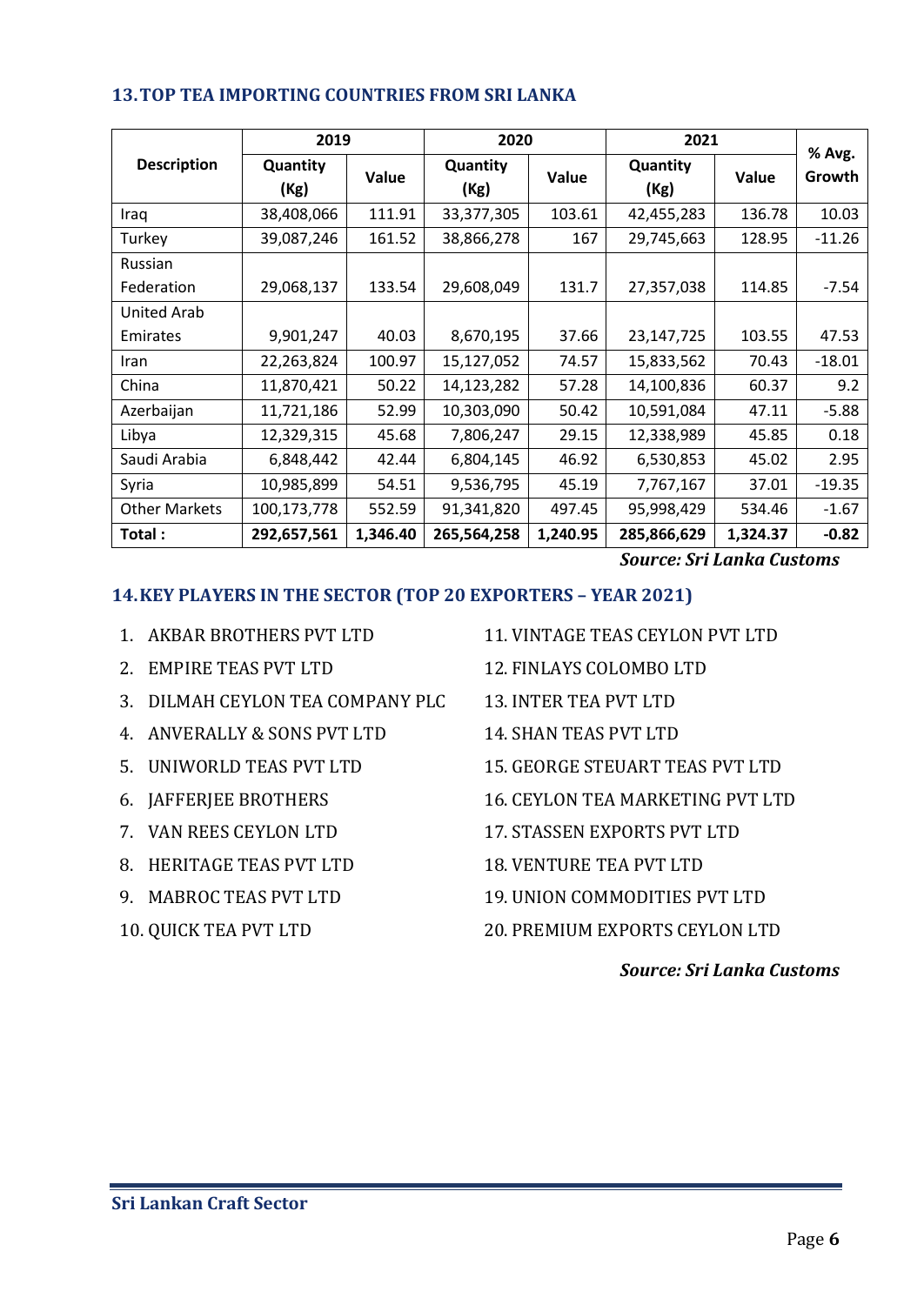|                      | 2019             |          | 2020             |          | 2021             |          |                  |
|----------------------|------------------|----------|------------------|----------|------------------|----------|------------------|
| <b>Description</b>   | Quantity<br>(Kg) | Value    | Quantity<br>(Kg) | Value    | Quantity<br>(Kg) | Value    | % Avg.<br>Growth |
| Iraq                 | 38,408,066       | 111.91   | 33,377,305       | 103.61   | 42,455,283       | 136.78   | 10.03            |
| Turkey               | 39,087,246       | 161.52   | 38,866,278       | 167      | 29,745,663       | 128.95   | $-11.26$         |
| Russian              |                  |          |                  |          |                  |          |                  |
| Federation           | 29,068,137       | 133.54   | 29,608,049       | 131.7    | 27,357,038       | 114.85   | $-7.54$          |
| <b>United Arab</b>   |                  |          |                  |          |                  |          |                  |
| Emirates             | 9,901,247        | 40.03    | 8,670,195        | 37.66    | 23,147,725       | 103.55   | 47.53            |
| Iran                 | 22,263,824       | 100.97   | 15,127,052       | 74.57    | 15,833,562       | 70.43    | $-18.01$         |
| China                | 11,870,421       | 50.22    | 14,123,282       | 57.28    | 14,100,836       | 60.37    | 9.2              |
| Azerbaijan           | 11,721,186       | 52.99    | 10,303,090       | 50.42    | 10,591,084       | 47.11    | $-5.88$          |
| Libya                | 12,329,315       | 45.68    | 7,806,247        | 29.15    | 12,338,989       | 45.85    | 0.18             |
| Saudi Arabia         | 6,848,442        | 42.44    | 6,804,145        | 46.92    | 6,530,853        | 45.02    | 2.95             |
| Syria                | 10,985,899       | 54.51    | 9,536,795        | 45.19    | 7,767,167        | 37.01    | $-19.35$         |
| <b>Other Markets</b> | 100,173,778      | 552.59   | 91,341,820       | 497.45   | 95,998,429       | 534.46   | $-1.67$          |
| Total:               | 292,657,561      | 1,346.40 | 265,564,258      | 1,240.95 | 285,866,629      | 1,324.37 | $-0.82$          |

#### <span id="page-7-0"></span>**13.TOP TEA IMPORTING COUNTRIES FROM SRI LANKA**

*Source: Sri Lanka Customs*

#### <span id="page-7-1"></span>**14.KEY PLAYERS IN THE SECTOR (TOP 20 EXPORTERS – YEAR 2021)**

- 1. AKBAR BROTHERS PVT LTD
- 2. EMPIRE TEAS PVT LTD
- 3. DILMAH CEYLON TEA COMPANY PLC 13. INTER TEA PVT LTD
- 4. ANVERALLY & SONS PVT LTD
- 5. UNIWORLD TEAS PVT LTD
- 6. JAFFERJEE BROTHERS
- 7. VAN REES CEYLON LTD
- 8. HERITAGE TEAS PVT LTD
- 9. MABROC TEAS PVT LTD
- 10. QUICK TEA PVT LTD
- 11. VINTAGE TEAS CEYLON PVT LTD
- 12. FINLAYS COLOMBO LTD
- 
- 14. SHAN TEAS PVT LTD
- 15. GEORGE STEUART TEAS PVT LTD
- 16. CEYLON TEA MARKETING PVT LTD
- 17. STASSEN EXPORTS PVT LTD
- 18. VENTURE TEA PVT LTD
- 19. UNION COMMODITIES PVT LTD
- 20. PREMIUM EXPORTS CEYLON LTD

#### *Source: Sri Lanka Customs*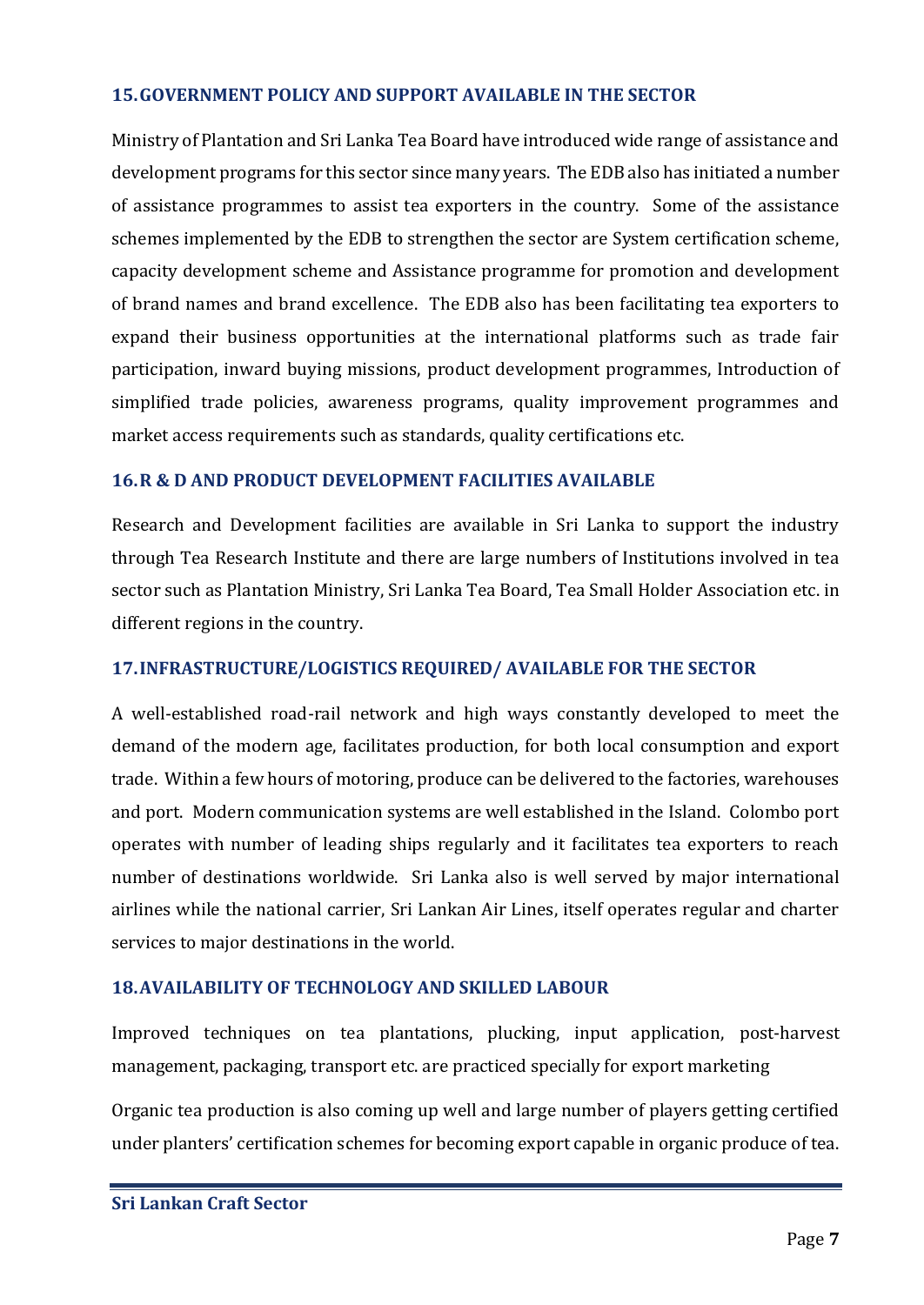#### <span id="page-8-0"></span>**15.GOVERNMENT POLICY AND SUPPORT AVAILABLE IN THE SECTOR**

Ministry of Plantation and Sri Lanka Tea Board have introduced wide range of assistance and development programs for this sector since many years. The EDB also has initiated a number of assistance programmes to assist tea exporters in the country. Some of the assistance schemes implemented by the EDB to strengthen the sector are System certification scheme, capacity development scheme and Assistance programme for promotion and development of brand names and brand excellence. The EDB also has been facilitating tea exporters to expand their business opportunities at the international platforms such as trade fair participation, inward buying missions, product development programmes, Introduction of simplified trade policies, awareness programs, quality improvement programmes and market access requirements such as standards, quality certifications etc.

#### <span id="page-8-1"></span>**16.R & D AND PRODUCT DEVELOPMENT FACILITIES AVAILABLE**

Research and Development facilities are available in Sri Lanka to support the industry through Tea Research Institute and there are large numbers of Institutions involved in tea sector such as Plantation Ministry, Sri Lanka Tea Board, Tea Small Holder Association etc. in different regions in the country.

#### <span id="page-8-2"></span>**17.INFRASTRUCTURE/LOGISTICS REQUIRED/ AVAILABLE FOR THE SECTOR**

A well-established road-rail network and high ways constantly developed to meet the demand of the modern age, facilitates production, for both local consumption and export trade. Within a few hours of motoring, produce can be delivered to the factories, warehouses and port. Modern communication systems are well established in the Island. Colombo port operates with number of leading ships regularly and it facilitates tea exporters to reach number of destinations worldwide. Sri Lanka also is well served by major international airlines while the national carrier, Sri Lankan Air Lines, itself operates regular and charter services to major destinations in the world.

#### <span id="page-8-3"></span>**18.AVAILABILITY OF TECHNOLOGY AND SKILLED LABOUR**

Improved techniques on tea plantations, plucking, input application, post-harvest management, packaging, transport etc. are practiced specially for export marketing

Organic tea production is also coming up well and large number of players getting certified under planters' certification schemes for becoming export capable in organic produce of tea.